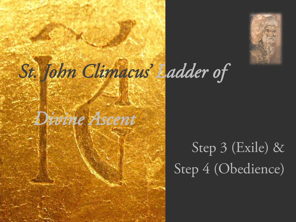



### Step 3 (Exile) & Step 4 (Obedience)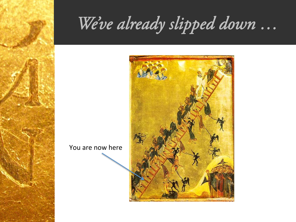# *We've already slipped down …*



You are now here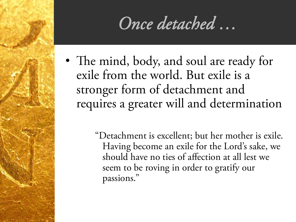#### *Once detached …*

• The mind, body, and soul are ready for exile from the world. But exile is a stronger form of detachment and requires a greater will and determination

> "Detachment is excellent; but her mother is exile. Having become an exile for the Lord's sake, we should have no ties of affection at all lest we seem to be roving in order to gratify our passions."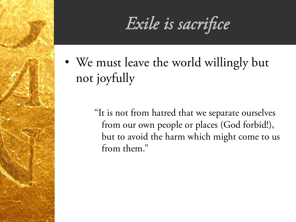*Exile is sacrifice* 

• We must leave the world willingly but not joyfully

> "It is not from hatred that we separate ourselves from our own people or places (God forbid!), but to avoid the harm which might come to us from them."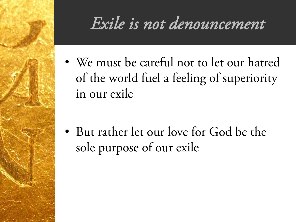### *Exile is not denouncement*

• We must be careful not to let our hatred of the world fuel a feeling of superiority in our exile

• But rather let our love for God be the sole purpose of our exile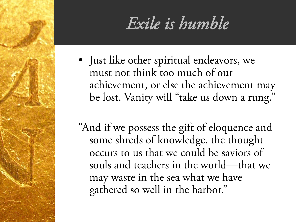### *Exile is humble*

• Just like other spiritual endeavors, we must not think too much of our achievement, or else the achievement may be lost. Vanity will "take us down a rung."

"And if we possess the gift of eloquence and some shreds of knowledge, the thought occurs to us that we could be saviors of souls and teachers in the world—that we may waste in the sea what we have gathered so well in the harbor."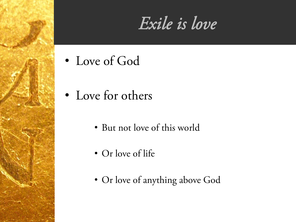### *Exile is love*

- Love of God
- Love for others
	- But not love of this world
	- Or love of life
	- Or love of anything above God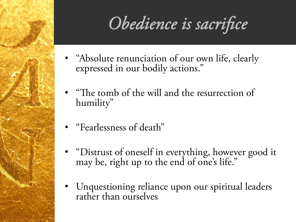# Obedience is sacrifice

- "Absolute renunciation of our own life, clearly expressed in our bodily actions."
- "The tomb of the will and the resurrection of humility"
- "Fearlessness of death"
- "Distrust of oneself in everything, however good it may be, right up to the end of one's life."
- Unquestioning reliance upon our spiritual leaders rather than ourselves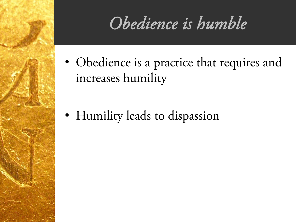## *Obedience is humble*

• Obedience is a practice that requires and increases humility

• Humility leads to dispassion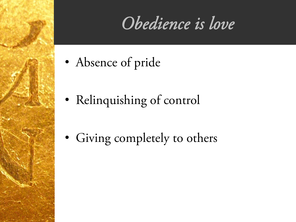## *Obedience is love*

- Absence of pride
- Relinquishing of control
- Giving completely to others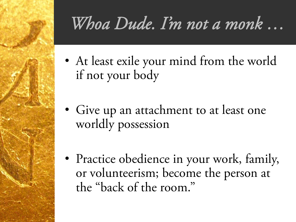# *Whoa Dude. I'm not a monk …*

- At least exile your mind from the world if not your body
- Give up an attachment to at least one worldly possession
- Practice obedience in your work, family, or volunteerism; become the person at the "back of the room."